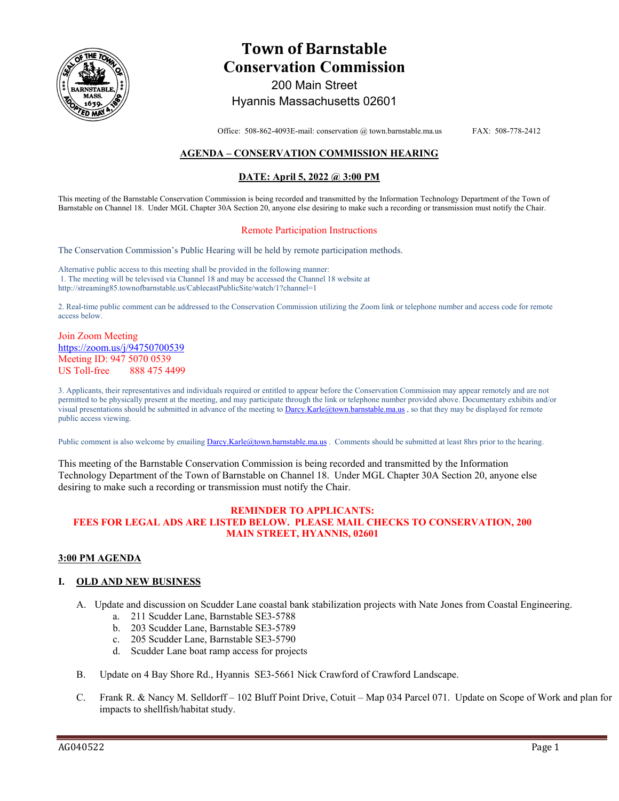

# **Town of Barnstable Conservation Commission**  200 Main Street

# Hyannis Massachusetts 02601

Office: 508-862-4093E-mail: conservation @ town.barnstable.ma.us FAX: 508-778-2412

# **AGENDA – CONSERVATION COMMISSION HEARING**

### **DATE: April 5, 2022 @ 3:00 PM**

This meeting of the Barnstable Conservation Commission is being recorded and transmitted by the Information Technology Department of the Town of Barnstable on Channel 18. Under MGL Chapter 30A Section 20, anyone else desiring to make such a recording or transmission must notify the Chair.

### Remote Participation Instructions

The Conservation Commission's Public Hearing will be held by remote participation methods.

Alternative public access to this meeting shall be provided in the following manner: 1. The meeting will be televised via Channel 18 and may be accessed the Channel 18 website at http://streaming85.townofbarnstable.us/CablecastPublicSite/watch/1?channel=1

2. Real-time public comment can be addressed to the Conservation Commission utilizing the Zoom link or telephone number and access code for remote access below.

### Join Zoom Meeting https://zoom.us/j/94750700539 Meeting ID: 947 5070 0539 US Toll-free 888 475 4499

3. Applicants, their representatives and individuals required or entitled to appear before the Conservation Commission may appear remotely and are not permitted to be physically present at the meeting, and may participate through the link or telephone number provided above. Documentary exhibits and/or visual presentations should be submitted in advance of the meeting to Darcy.Karle@town.barnstable.ma.us, so that they may be displayed for remote public access viewing.

Public comment is also welcome by emailing **Darcy.Karle@town.barnstable.ma.us**. Comments should be submitted at least 8hrs prior to the hearing.

This meeting of the Barnstable Conservation Commission is being recorded and transmitted by the Information Technology Department of the Town of Barnstable on Channel 18. Under MGL Chapter 30A Section 20, anyone else desiring to make such a recording or transmission must notify the Chair.

### **REMINDER TO APPLICANTS: FEES FOR LEGAL ADS ARE LISTED BELOW. PLEASE MAIL CHECKS TO CONSERVATION, 200 MAIN STREET, HYANNIS, 02601**

### **3:00 PM AGENDA**

### **I. OLD AND NEW BUSINESS**

- A. Update and discussion on Scudder Lane coastal bank stabilization projects with Nate Jones from Coastal Engineering.
	- a. 211 Scudder Lane, Barnstable SE3-5788
	- b. 203 Scudder Lane, Barnstable SE3-5789
	- c. 205 Scudder Lane, Barnstable SE3-5790
	- d. Scudder Lane boat ramp access for projects
- B. Update on 4 Bay Shore Rd., Hyannis SE3-5661 Nick Crawford of Crawford Landscape.
- C. Frank R. & Nancy M. Selldorff 102 Bluff Point Drive, Cotuit Map 034 Parcel 071. Update on Scope of Work and plan for impacts to shellfish/habitat study.